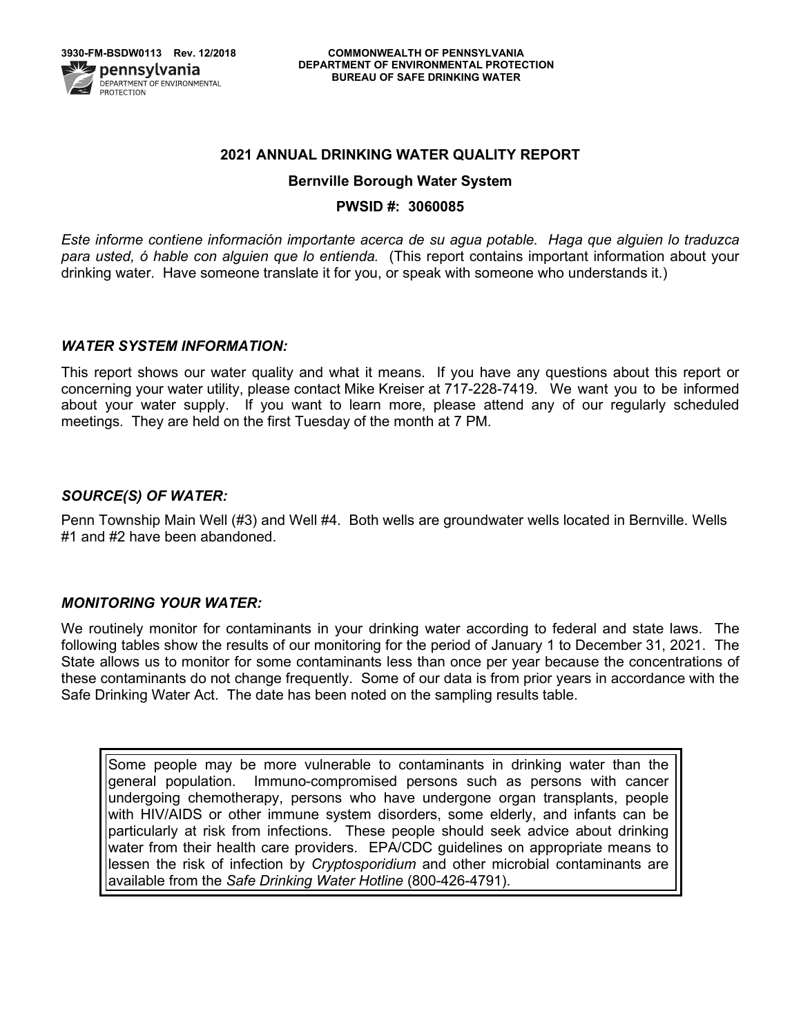

### **2021 ANNUAL DRINKING WATER QUALITY REPORT**

#### **Bernville Borough Water System**

#### **PWSID #: 3060085**

*Este informe contiene información importante acerca de su agua potable. Haga que alguien lo traduzca para usted, ó hable con alguien que lo entienda.* (This report contains important information about your drinking water. Have someone translate it for you, or speak with someone who understands it.)

#### *WATER SYSTEM INFORMATION:*

This report shows our water quality and what it means. If you have any questions about this report or concerning your water utility, please contact Mike Kreiser at 717-228-7419.We want you to be informed about your water supply. If you want to learn more, please attend any of our regularly scheduled meetings. They are held on the first Tuesday of the month at 7 PM.

### *SOURCE(S) OF WATER:*

Penn Township Main Well (#3) and Well #4. Both wells are groundwater wells located in Bernville. Wells #1 and #2 have been abandoned.

### *MONITORING YOUR WATER:*

We routinely monitor for contaminants in your drinking water according to federal and state laws. The following tables show the results of our monitoring for the period of January 1 to December 31, 2021. The State allows us to monitor for some contaminants less than once per year because the concentrations of these contaminants do not change frequently. Some of our data is from prior years in accordance with the Safe Drinking Water Act. The date has been noted on the sampling results table.

Some people may be more vulnerable to contaminants in drinking water than the general population. Immuno-compromised persons such as persons with cancer undergoing chemotherapy, persons who have undergone organ transplants, people with HIV/AIDS or other immune system disorders, some elderly, and infants can be particularly at risk from infections. These people should seek advice about drinking water from their health care providers. EPA/CDC guidelines on appropriate means to lessen the risk of infection by *Cryptosporidium* and other microbial contaminants are available from the *Safe Drinking Water Hotline* (800-426-4791).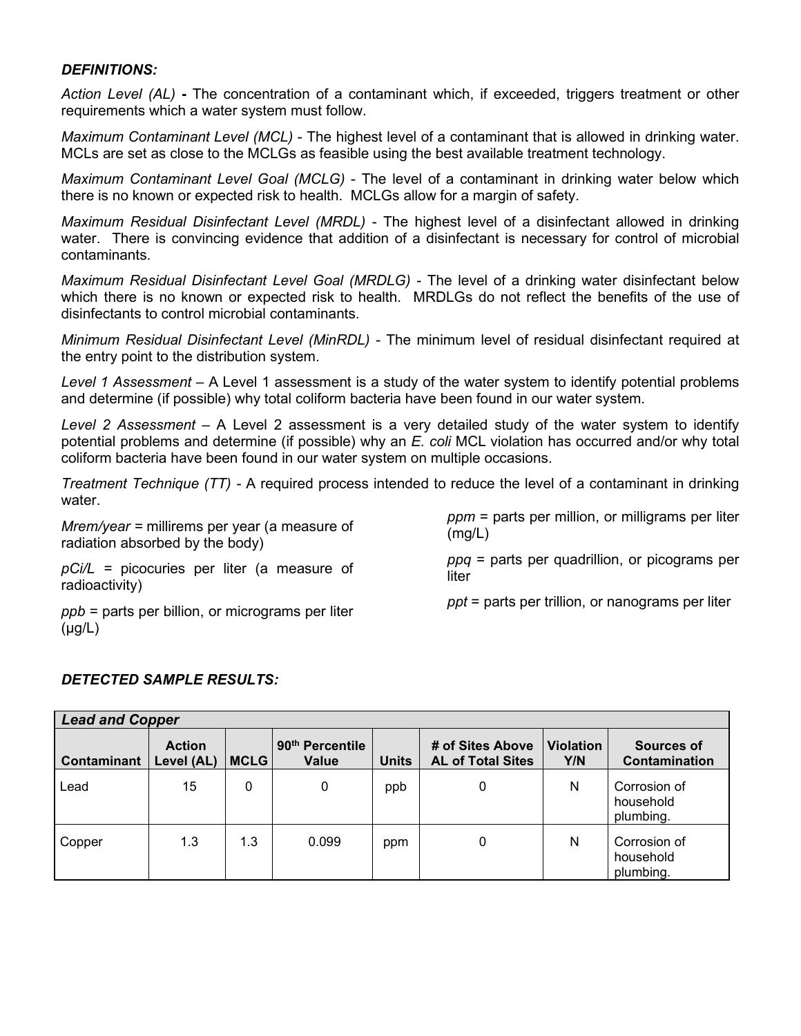# *DEFINITIONS:*

*Action Level (AL)* **-** The concentration of a contaminant which, if exceeded, triggers treatment or other requirements which a water system must follow.

*Maximum Contaminant Level (MCL)* - The highest level of a contaminant that is allowed in drinking water. MCLs are set as close to the MCLGs as feasible using the best available treatment technology.

*Maximum Contaminant Level Goal (MCLG)* - The level of a contaminant in drinking water below which there is no known or expected risk to health. MCLGs allow for a margin of safety.

*Maximum Residual Disinfectant Level (MRDL)* - The highest level of a disinfectant allowed in drinking water. There is convincing evidence that addition of a disinfectant is necessary for control of microbial contaminants.

*Maximum Residual Disinfectant Level Goal (MRDLG)* - The level of a drinking water disinfectant below which there is no known or expected risk to health. MRDLGs do not reflect the benefits of the use of disinfectants to control microbial contaminants.

*Minimum Residual Disinfectant Level (MinRDL) -* The minimum level of residual disinfectant required at the entry point to the distribution system.

*Level 1 Assessment –* A Level 1 assessment is a study of the water system to identify potential problems and determine (if possible) why total coliform bacteria have been found in our water system.

*Level 2 Assessment –* A Level 2 assessment is a very detailed study of the water system to identify potential problems and determine (if possible) why an *E. coli* MCL violation has occurred and/or why total coliform bacteria have been found in our water system on multiple occasions.

*Treatment Technique (TT) -* A required process intended to reduce the level of a contaminant in drinking water.

*Mrem/year =* millirems per year (a measure of radiation absorbed by the body)

*pCi/L =* picocuries per liter (a measure of

*ppm* = parts per million, or milligrams per liter (mg/L)

*ppq* = parts per quadrillion, or picograms per liter

radioactivity) *ppb* = parts per billion, or micrograms per liter

*ppt* = parts per trillion, or nanograms per liter

# *DETECTED SAMPLE RESULTS:*

(μg/L)

| <b>Lead and Copper</b> |                             |             |                                      |              |                                              |                         |                                        |  |
|------------------------|-----------------------------|-------------|--------------------------------------|--------------|----------------------------------------------|-------------------------|----------------------------------------|--|
| Contaminant            | <b>Action</b><br>Level (AL) | <b>MCLG</b> | 90 <sup>th</sup> Percentile<br>Value | <b>Units</b> | # of Sites Above<br><b>AL of Total Sites</b> | <b>Violation</b><br>Y/N | Sources of<br>Contamination            |  |
| Lead                   | 15                          | 0           | 0                                    | ppb          | 0                                            | N                       | Corrosion of<br>household<br>plumbing. |  |
| Copper                 | 1.3                         | 1.3         | 0.099                                | ppm          | 0                                            | N                       | Corrosion of<br>household<br>plumbing. |  |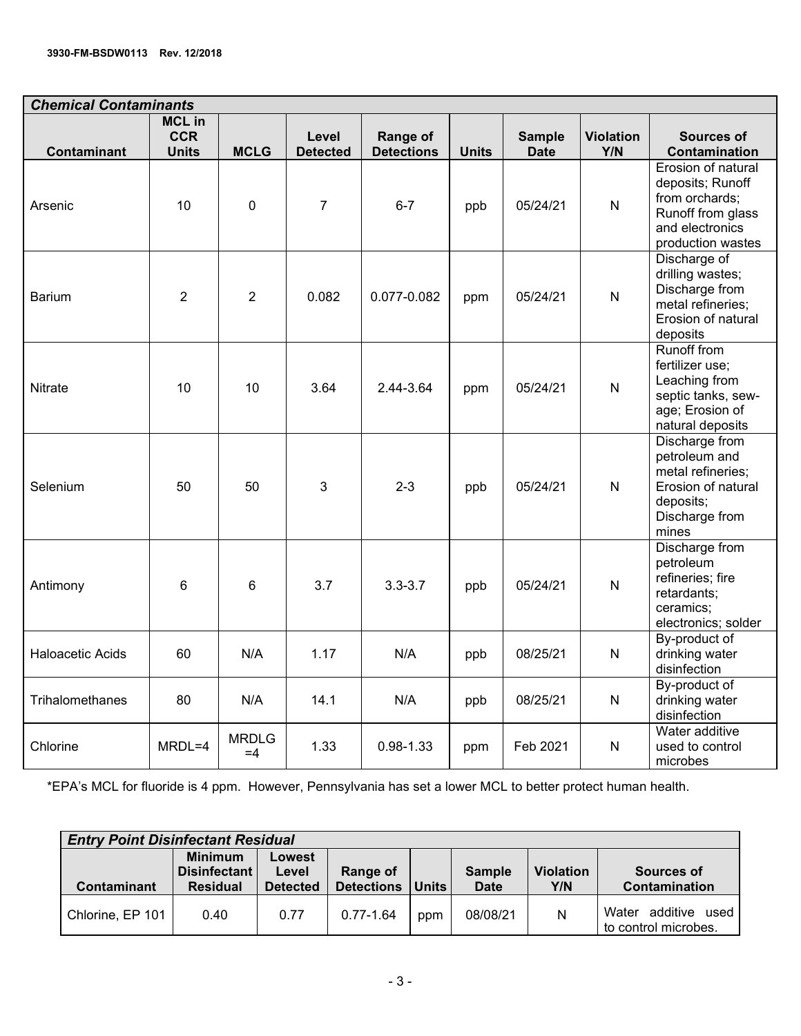| <b>Chemical Contaminants</b> |                                             |                      |                          |                               |              |                              |                         |                                                                                                                       |  |
|------------------------------|---------------------------------------------|----------------------|--------------------------|-------------------------------|--------------|------------------------------|-------------------------|-----------------------------------------------------------------------------------------------------------------------|--|
| <b>Contaminant</b>           | <b>MCL in</b><br><b>CCR</b><br><b>Units</b> | <b>MCLG</b>          | Level<br><b>Detected</b> | Range of<br><b>Detections</b> | <b>Units</b> | <b>Sample</b><br><b>Date</b> | <b>Violation</b><br>Y/N | Sources of<br>Contamination                                                                                           |  |
| Arsenic                      | 10                                          | $\mathbf 0$          | $\overline{7}$           | $6 - 7$                       | ppb          | 05/24/21                     | ${\sf N}$               | Erosion of natural<br>deposits; Runoff<br>from orchards;<br>Runoff from glass<br>and electronics<br>production wastes |  |
| <b>Barium</b>                | 2                                           | $\overline{2}$       | 0.082                    | 0.077-0.082                   | ppm          | 05/24/21                     | $\mathsf{N}$            | Discharge of<br>drilling wastes;<br>Discharge from<br>metal refineries;<br>Erosion of natural<br>deposits             |  |
| Nitrate                      | 10                                          | 10                   | 3.64                     | 2.44-3.64                     | ppm          | 05/24/21                     | $\overline{\mathsf{N}}$ | Runoff from<br>fertilizer use;<br>Leaching from<br>septic tanks, sew-<br>age; Erosion of<br>natural deposits          |  |
| Selenium                     | 50                                          | 50                   | 3                        | $2 - 3$                       | ppb          | 05/24/21                     | $\mathsf{N}$            | Discharge from<br>petroleum and<br>metal refineries;<br>Erosion of natural<br>deposits;<br>Discharge from<br>mines    |  |
| Antimony                     | 6                                           | 6                    | 3.7                      | $3.3 - 3.7$                   | ppb          | 05/24/21                     | $\mathsf{N}$            | Discharge from<br>petroleum<br>refineries; fire<br>retardants;<br>ceramics;<br>electronics; solder                    |  |
| Haloacetic Acids             | 60                                          | N/A                  | 1.17                     | N/A                           | ppb          | 08/25/21                     | ${\sf N}$               | By-product of<br>drinking water<br>disinfection                                                                       |  |
| <b>Trihalomethanes</b>       | 80                                          | N/A                  | 14.1                     | N/A                           | ppb          | 08/25/21                     | $\mathsf{N}$            | By-product of<br>drinking water<br>disinfection                                                                       |  |
| Chlorine                     | MRDL=4                                      | <b>MRDLG</b><br>$=4$ | 1.33                     | $0.98 - 1.33$                 | ppm          | Feb 2021                     | $\mathsf{N}$            | Water additive<br>used to control<br>microbes                                                                         |  |

\*EPA's MCL for fluoride is 4 ppm. However, Pennsylvania has set a lower MCL to better protect human health.

| <b>Entry Point Disinfectant Residual</b> |                                                   |                                    |                               |              |                              |                         |                                                |  |  |
|------------------------------------------|---------------------------------------------------|------------------------------------|-------------------------------|--------------|------------------------------|-------------------------|------------------------------------------------|--|--|
| <b>Contaminant</b>                       | <b>Minimum</b><br>Disinfectant<br><b>Residual</b> | Lowest<br>Level<br><b>Detected</b> | Range of<br><b>Detections</b> | <b>Units</b> | <b>Sample</b><br><b>Date</b> | <b>Violation</b><br>Y/N | Sources of<br>Contamination                    |  |  |
| Chlorine, EP 101                         | 0.40                                              | 0.77                               | $0.77 - 1.64$                 | ppm          | 08/08/21                     | N                       | Water additive<br>used<br>to control microbes. |  |  |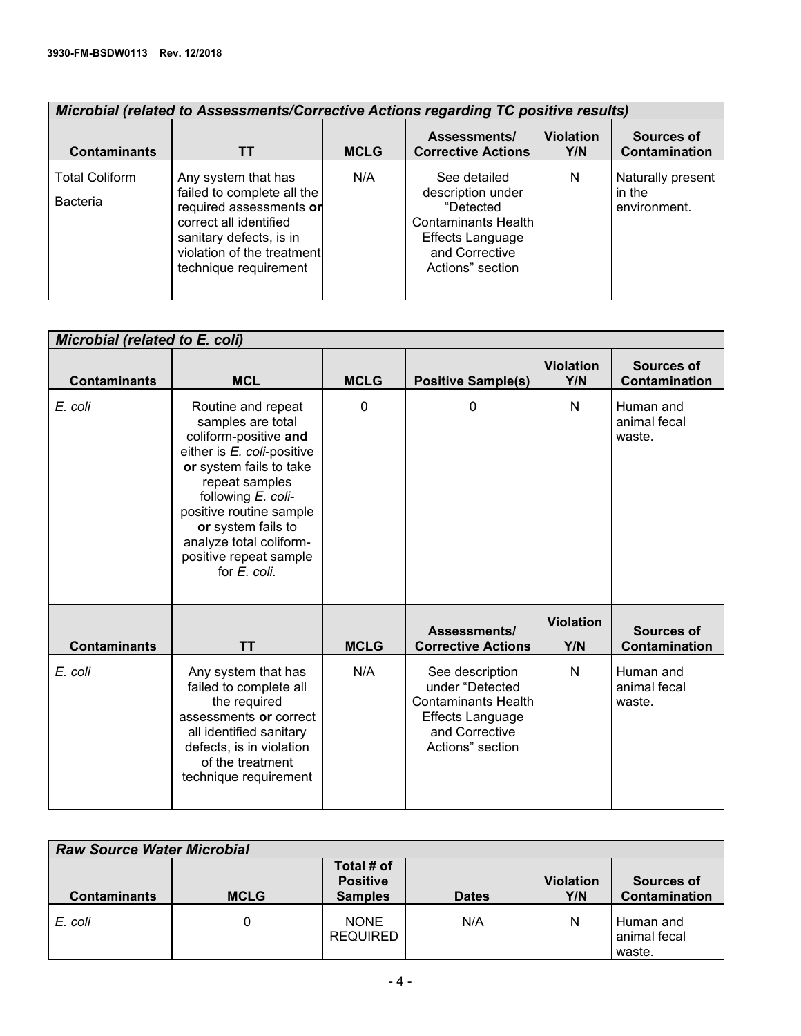| <b>Microbial (related to Assessments/Corrective Actions regarding TC positive results)</b> |                                                                                                                                                                                          |             |                                                                                                                                               |                         |                                             |  |  |  |  |
|--------------------------------------------------------------------------------------------|------------------------------------------------------------------------------------------------------------------------------------------------------------------------------------------|-------------|-----------------------------------------------------------------------------------------------------------------------------------------------|-------------------------|---------------------------------------------|--|--|--|--|
| <b>Contaminants</b>                                                                        | TТ                                                                                                                                                                                       | <b>MCLG</b> | Assessments/<br><b>Corrective Actions</b>                                                                                                     | <b>Violation</b><br>Y/N | Sources of<br>Contamination                 |  |  |  |  |
| <b>Total Coliform</b><br><b>Bacteria</b>                                                   | Any system that has<br>failed to complete all the<br>required assessments or<br>correct all identified<br>sanitary defects, is in<br>violation of the treatment<br>technique requirement | N/A         | See detailed<br>description under<br>"Detected<br><b>Contaminants Health</b><br><b>Effects Language</b><br>and Corrective<br>Actions" section | N                       | Naturally present<br>in the<br>environment. |  |  |  |  |

| Microbial (related to E. coli) |                                                                                                                                                                                                                                                                                         |             |                                                                                                                                   |                         |                                     |  |  |  |
|--------------------------------|-----------------------------------------------------------------------------------------------------------------------------------------------------------------------------------------------------------------------------------------------------------------------------------------|-------------|-----------------------------------------------------------------------------------------------------------------------------------|-------------------------|-------------------------------------|--|--|--|
| <b>Contaminants</b>            | <b>MCL</b>                                                                                                                                                                                                                                                                              | <b>MCLG</b> | <b>Positive Sample(s)</b>                                                                                                         | <b>Violation</b><br>Y/N | <b>Sources of</b><br>Contamination  |  |  |  |
| E. coli                        | Routine and repeat<br>samples are total<br>coliform-positive and<br>either is E. coli-positive<br>or system fails to take<br>repeat samples<br>following E. coli-<br>positive routine sample<br>or system fails to<br>analyze total coliform-<br>positive repeat sample<br>for E. coli. | 0           | 0                                                                                                                                 | N                       | Human and<br>animal fecal<br>waste. |  |  |  |
| <b>Contaminants</b>            | <b>TT</b>                                                                                                                                                                                                                                                                               | <b>MCLG</b> | Assessments/<br><b>Corrective Actions</b>                                                                                         | <b>Violation</b><br>Y/N | <b>Sources of</b><br>Contamination  |  |  |  |
| E. coli                        | Any system that has<br>failed to complete all<br>the required<br>assessments or correct<br>all identified sanitary<br>defects, is in violation<br>of the treatment<br>technique requirement                                                                                             | N/A         | See description<br>under "Detected<br><b>Contaminants Health</b><br><b>Effects Language</b><br>and Corrective<br>Actions" section | N                       | Human and<br>animal fecal<br>waste. |  |  |  |

| <b>Raw Source Water Microbial</b> |             |                                                 |              |                         |                                     |  |  |  |
|-----------------------------------|-------------|-------------------------------------------------|--------------|-------------------------|-------------------------------------|--|--|--|
| <b>Contaminants</b>               | <b>MCLG</b> | Total # of<br><b>Positive</b><br><b>Samples</b> | <b>Dates</b> | <b>Violation</b><br>Y/N | Sources of<br>Contamination         |  |  |  |
| E. coli                           |             | <b>NONE</b><br><b>REQUIRED</b>                  | N/A          | N                       | Human and<br>animal fecal<br>waste. |  |  |  |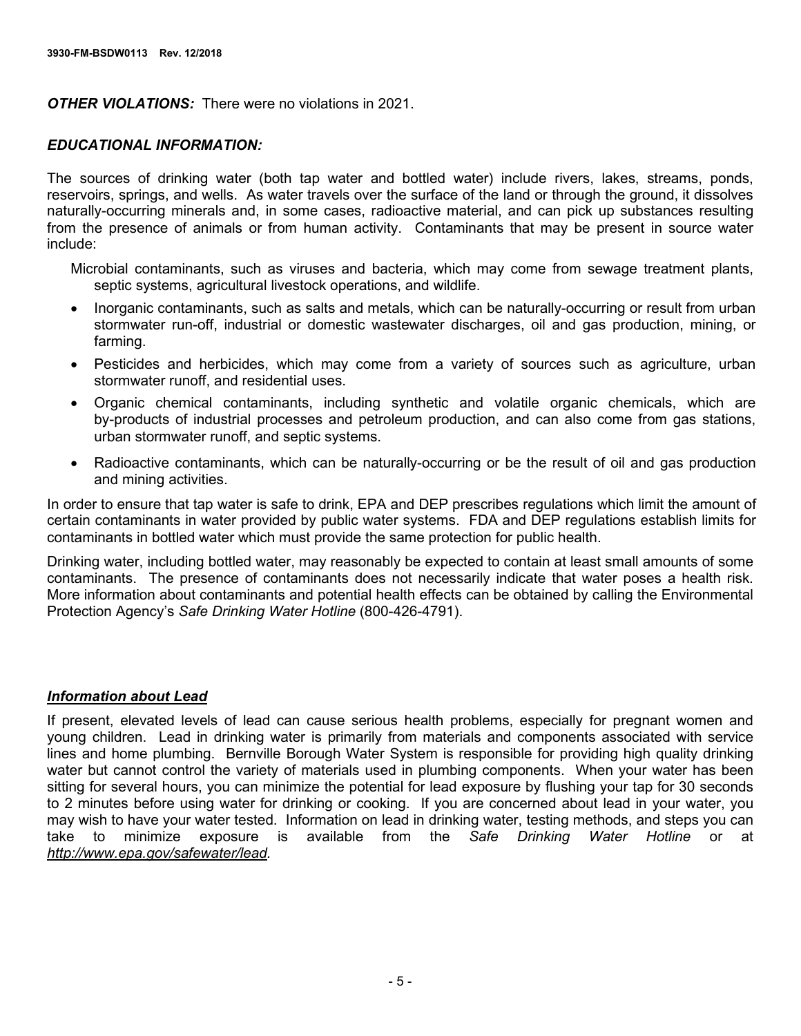*OTHER VIOLATIONS:* There were no violations in 2021.

## *EDUCATIONAL INFORMATION:*

The sources of drinking water (both tap water and bottled water) include rivers, lakes, streams, ponds, reservoirs, springs, and wells. As water travels over the surface of the land or through the ground, it dissolves naturally-occurring minerals and, in some cases, radioactive material, and can pick up substances resulting from the presence of animals or from human activity. Contaminants that may be present in source water include:

Microbial contaminants, such as viruses and bacteria, which may come from sewage treatment plants, septic systems, agricultural livestock operations, and wildlife.

- Inorganic contaminants, such as salts and metals, which can be naturally-occurring or result from urban stormwater run-off, industrial or domestic wastewater discharges, oil and gas production, mining, or farming.
- Pesticides and herbicides, which may come from a variety of sources such as agriculture, urban stormwater runoff, and residential uses.
- Organic chemical contaminants, including synthetic and volatile organic chemicals, which are by-products of industrial processes and petroleum production, and can also come from gas stations, urban stormwater runoff, and septic systems.
- Radioactive contaminants, which can be naturally-occurring or be the result of oil and gas production and mining activities.

In order to ensure that tap water is safe to drink, EPA and DEP prescribes regulations which limit the amount of certain contaminants in water provided by public water systems. FDA and DEP regulations establish limits for contaminants in bottled water which must provide the same protection for public health.

Drinking water, including bottled water, may reasonably be expected to contain at least small amounts of some contaminants. The presence of contaminants does not necessarily indicate that water poses a health risk. More information about contaminants and potential health effects can be obtained by calling the Environmental Protection Agency's *Safe Drinking Water Hotline* (800-426-4791).

### *Information about Lead*

If present, elevated levels of lead can cause serious health problems, especially for pregnant women and young children. Lead in drinking water is primarily from materials and components associated with service lines and home plumbing. Bernville Borough Water System is responsible for providing high quality drinking water but cannot control the variety of materials used in plumbing components. When your water has been sitting for several hours, you can minimize the potential for lead exposure by flushing your tap for 30 seconds to 2 minutes before using water for drinking or cooking. If you are concerned about lead in your water, you may wish to have your water tested. Information on lead in drinking water, testing methods, and steps you can<br>take to minimize exposure is available from the Safe Drinking Water Hotline or at take to minimize exposure is available from the *Safe Drinking Water Hotline* or at *http://www.epa.gov/safewater/lead.*